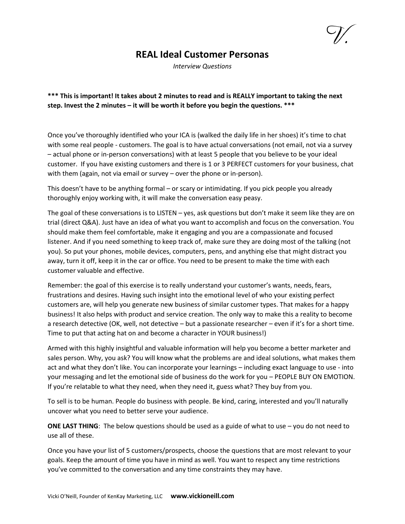## **REAL Ideal Customer Personas**

*Interview Questions*

**\*\*\* This is important! It takes about 2 minutes to read and is REALLY important to taking the next step. Invest the 2 minutes – it will be worth it before you begin the questions. \*\*\***

Once you've thoroughly identified who your ICA is (walked the daily life in her shoes) it's time to chat with some real people - customers. The goal is to have actual conversations (not email, not via a survey – actual phone or in-person conversations) with at least 5 people that you believe to be your ideal customer. If you have existing customers and there is 1 or 3 PERFECT customers for your business, chat with them (again, not via email or survey – over the phone or in-person).

This doesn't have to be anything formal – or scary or intimidating. If you pick people you already thoroughly enjoy working with, it will make the conversation easy peasy.

The goal of these conversations is to LISTEN – yes, ask questions but don't make it seem like they are on trial (direct Q&A). Just have an idea of what you want to accomplish and focus on the conversation. You should make them feel comfortable, make it engaging and you are a compassionate and focused listener. And if you need something to keep track of, make sure they are doing most of the talking (not you). So put your phones, mobile devices, computers, pens, and anything else that might distract you away, turn it off, keep it in the car or office. You need to be present to make the time with each customer valuable and effective.

Remember: the goal of this exercise is to really understand your customer's wants, needs, fears, frustrations and desires. Having such insight into the emotional level of who your existing perfect customers are, will help you generate new business of similar customer types. That makes for a happy business! It also helps with product and service creation. The only way to make this a reality to become a research detective (OK, well, not detective – but a passionate researcher – even if it's for a short time. Time to put that acting hat on and become a character in YOUR business!)

Armed with this highly insightful and valuable information will help you become a better marketer and sales person. Why, you ask? You will know what the problems are and ideal solutions, what makes them act and what they don't like. You can incorporate your learnings – including exact language to use - into your messaging and let the emotional side of business do the work for you – PEOPLE BUY ON EMOTION. If you're relatable to what they need, when they need it, guess what? They buy from you.

To sell is to be human. People do business with people. Be kind, caring, interested and you'll naturally uncover what you need to better serve your audience.

**ONE LAST THING**: The below questions should be used as a guide of what to use – you do not need to use all of these.

Once you have your list of 5 customers/prospects, choose the questions that are most relevant to your goals. Keep the amount of time you have in mind as well. You want to respect any time restrictions you've committed to the conversation and any time constraints they may have.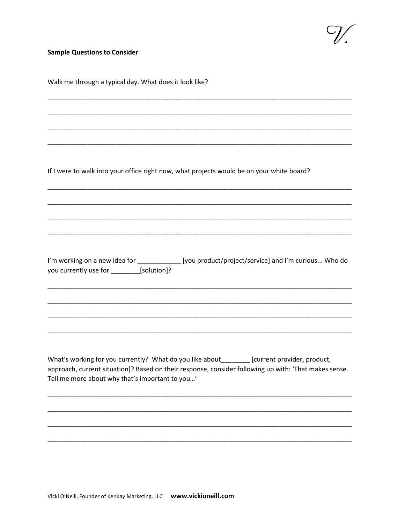V.

## **Sample Questions to Consider**

| Walk me through a typical day. What does it look like?                                                                                                                                                                                                   |
|----------------------------------------------------------------------------------------------------------------------------------------------------------------------------------------------------------------------------------------------------------|
|                                                                                                                                                                                                                                                          |
|                                                                                                                                                                                                                                                          |
|                                                                                                                                                                                                                                                          |
| If I were to walk into your office right now, what projects would be on your white board?                                                                                                                                                                |
|                                                                                                                                                                                                                                                          |
|                                                                                                                                                                                                                                                          |
|                                                                                                                                                                                                                                                          |
| I'm working on a new idea for _______________ [you product/project/service] and I'm curious Who do<br>you currently use for _________[solution]?                                                                                                         |
|                                                                                                                                                                                                                                                          |
|                                                                                                                                                                                                                                                          |
|                                                                                                                                                                                                                                                          |
| What's working for you currently? What do you like about________ [current provider, product,<br>approach, current situation]? Based on their response, consider following up with: 'That makes sense.<br>Tell me more about why that's important to you' |
|                                                                                                                                                                                                                                                          |
|                                                                                                                                                                                                                                                          |
|                                                                                                                                                                                                                                                          |
|                                                                                                                                                                                                                                                          |